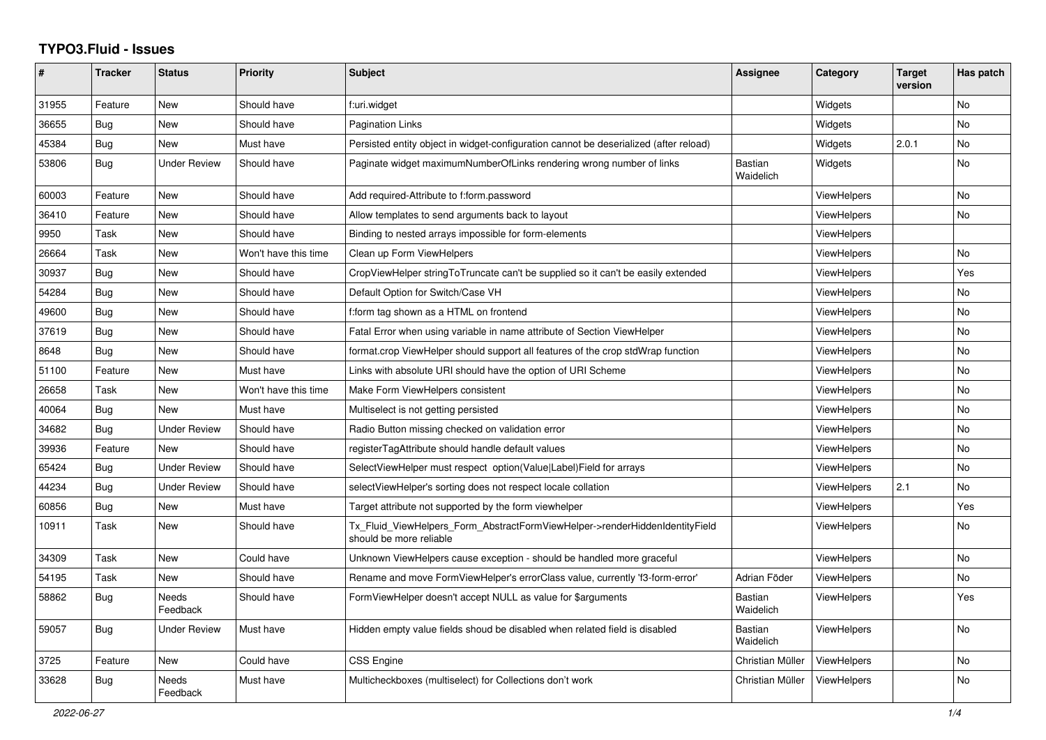## **TYPO3.Fluid - Issues**

| ∦     | <b>Tracker</b> | <b>Status</b>       | <b>Priority</b>      | <b>Subject</b>                                                                                         | Assignee                    | Category           | <b>Target</b><br>version | Has patch |
|-------|----------------|---------------------|----------------------|--------------------------------------------------------------------------------------------------------|-----------------------------|--------------------|--------------------------|-----------|
| 31955 | Feature        | <b>New</b>          | Should have          | f:uri.widget                                                                                           |                             | Widgets            |                          | <b>No</b> |
| 36655 | Bug            | New                 | Should have          | <b>Pagination Links</b>                                                                                |                             | Widgets            |                          | <b>No</b> |
| 45384 | Bug            | <b>New</b>          | Must have            | Persisted entity object in widget-configuration cannot be deserialized (after reload)                  |                             | Widgets            | 2.0.1                    | No        |
| 53806 | Bug            | <b>Under Review</b> | Should have          | Paginate widget maximumNumberOfLinks rendering wrong number of links                                   | <b>Bastian</b><br>Waidelich | Widgets            |                          | <b>No</b> |
| 60003 | Feature        | <b>New</b>          | Should have          | Add required-Attribute to f:form.password                                                              |                             | ViewHelpers        |                          | No        |
| 36410 | Feature        | New                 | Should have          | Allow templates to send arguments back to layout                                                       |                             | ViewHelpers        |                          | No        |
| 9950  | Task           | New                 | Should have          | Binding to nested arrays impossible for form-elements                                                  |                             | <b>ViewHelpers</b> |                          |           |
| 26664 | Task           | New                 | Won't have this time | Clean up Form ViewHelpers                                                                              |                             | <b>ViewHelpers</b> |                          | No        |
| 30937 | Bug            | New                 | Should have          | CropViewHelper stringToTruncate can't be supplied so it can't be easily extended                       |                             | ViewHelpers        |                          | Yes       |
| 54284 | <b>Bug</b>     | <b>New</b>          | Should have          | Default Option for Switch/Case VH                                                                      |                             | <b>ViewHelpers</b> |                          | No        |
| 49600 | Bug            | <b>New</b>          | Should have          | f:form tag shown as a HTML on frontend                                                                 |                             | ViewHelpers        |                          | No        |
| 37619 | Bug            | <b>New</b>          | Should have          | Fatal Error when using variable in name attribute of Section ViewHelper                                |                             | ViewHelpers        |                          | <b>No</b> |
| 8648  | <b>Bug</b>     | <b>New</b>          | Should have          | format.crop ViewHelper should support all features of the crop stdWrap function                        |                             | ViewHelpers        |                          | <b>No</b> |
| 51100 | Feature        | New                 | Must have            | Links with absolute URI should have the option of URI Scheme                                           |                             | ViewHelpers        |                          | <b>No</b> |
| 26658 | Task           | New                 | Won't have this time | Make Form ViewHelpers consistent                                                                       |                             | ViewHelpers        |                          | No        |
| 40064 | <b>Bug</b>     | <b>New</b>          | Must have            | Multiselect is not getting persisted                                                                   |                             | ViewHelpers        |                          | No        |
| 34682 | Bug            | <b>Under Review</b> | Should have          | Radio Button missing checked on validation error                                                       |                             | ViewHelpers        |                          | No        |
| 39936 | Feature        | New                 | Should have          | registerTagAttribute should handle default values                                                      |                             | <b>ViewHelpers</b> |                          | No        |
| 65424 | Bug            | Under Review        | Should have          | SelectViewHelper must respect option(Value Label)Field for arrays                                      |                             | ViewHelpers        |                          | No        |
| 44234 | Bug            | <b>Under Review</b> | Should have          | selectViewHelper's sorting does not respect locale collation                                           |                             | <b>ViewHelpers</b> | 2.1                      | No        |
| 60856 | <b>Bug</b>     | <b>New</b>          | Must have            | Target attribute not supported by the form viewhelper                                                  |                             | <b>ViewHelpers</b> |                          | Yes       |
| 10911 | Task           | <b>New</b>          | Should have          | Tx_Fluid_ViewHelpers_Form_AbstractFormViewHelper->renderHiddenIdentityField<br>should be more reliable |                             | ViewHelpers        |                          | No        |
| 34309 | Task           | New                 | Could have           | Unknown ViewHelpers cause exception - should be handled more graceful                                  |                             | ViewHelpers        |                          | <b>No</b> |
| 54195 | Task           | New                 | Should have          | Rename and move FormViewHelper's errorClass value, currently 'f3-form-error'                           | Adrian Föder                | ViewHelpers        |                          | No        |
| 58862 | Bug            | Needs<br>Feedback   | Should have          | FormViewHelper doesn't accept NULL as value for \$arguments                                            | Bastian<br>Waidelich        | <b>ViewHelpers</b> |                          | Yes       |
| 59057 | Bug            | Under Review        | Must have            | Hidden empty value fields shoud be disabled when related field is disabled                             | Bastian<br>Waidelich        | ViewHelpers        |                          | No        |
| 3725  | Feature        | New                 | Could have           | <b>CSS Engine</b>                                                                                      | Christian Müller            | ViewHelpers        |                          | No        |
| 33628 | Bug            | Needs<br>Feedback   | Must have            | Multicheckboxes (multiselect) for Collections don't work                                               | Christian Müller            | ViewHelpers        |                          | No        |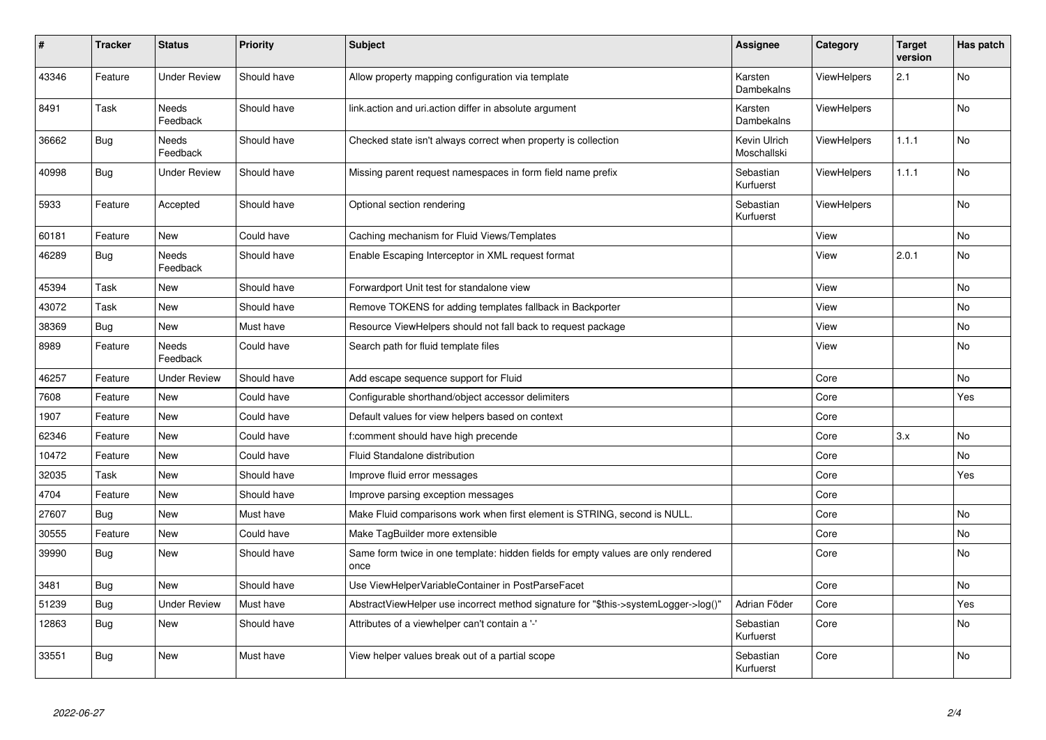| #     | <b>Tracker</b> | <b>Status</b>            | <b>Priority</b> | <b>Subject</b>                                                                            | Assignee                    | Category           | <b>Target</b><br>version | Has patch |
|-------|----------------|--------------------------|-----------------|-------------------------------------------------------------------------------------------|-----------------------------|--------------------|--------------------------|-----------|
| 43346 | Feature        | <b>Under Review</b>      | Should have     | Allow property mapping configuration via template                                         | Karsten<br>Dambekalns       | <b>ViewHelpers</b> | 2.1                      | <b>No</b> |
| 8491  | Task           | Needs<br>Feedback        | Should have     | link.action and uri.action differ in absolute argument                                    | Karsten<br>Dambekalns       | <b>ViewHelpers</b> |                          | <b>No</b> |
| 36662 | <b>Bug</b>     | Needs<br>Feedback        | Should have     | Checked state isn't always correct when property is collection                            | Kevin Ulrich<br>Moschallski | <b>ViewHelpers</b> | 1.1.1                    | No        |
| 40998 | <b>Bug</b>     | Under Review             | Should have     | Missing parent request namespaces in form field name prefix                               | Sebastian<br>Kurfuerst      | ViewHelpers        | 1.1.1                    | No        |
| 5933  | Feature        | Accepted                 | Should have     | Optional section rendering                                                                | Sebastian<br>Kurfuerst      | ViewHelpers        |                          | No        |
| 60181 | Feature        | New                      | Could have      | Caching mechanism for Fluid Views/Templates                                               |                             | View               |                          | No        |
| 46289 | <b>Bug</b>     | <b>Needs</b><br>Feedback | Should have     | Enable Escaping Interceptor in XML request format                                         |                             | View               | 2.0.1                    | <b>No</b> |
| 45394 | Task           | New                      | Should have     | Forwardport Unit test for standalone view                                                 |                             | View               |                          | <b>No</b> |
| 43072 | Task           | New                      | Should have     | Remove TOKENS for adding templates fallback in Backporter                                 |                             | View               |                          | No        |
| 38369 | Bug            | New                      | Must have       | Resource ViewHelpers should not fall back to request package                              |                             | View               |                          | No        |
| 8989  | Feature        | Needs<br>Feedback        | Could have      | Search path for fluid template files                                                      |                             | View               |                          | No        |
| 46257 | Feature        | Under Review             | Should have     | Add escape sequence support for Fluid                                                     |                             | Core               |                          | No        |
| 7608  | Feature        | New                      | Could have      | Configurable shorthand/object accessor delimiters                                         |                             | Core               |                          | Yes       |
| 1907  | Feature        | New                      | Could have      | Default values for view helpers based on context                                          |                             | Core               |                          |           |
| 62346 | Feature        | New                      | Could have      | f:comment should have high precende                                                       |                             | Core               | 3.x                      | <b>No</b> |
| 10472 | Feature        | New                      | Could have      | Fluid Standalone distribution                                                             |                             | Core               |                          | No        |
| 32035 | Task           | <b>New</b>               | Should have     | Improve fluid error messages                                                              |                             | Core               |                          | Yes       |
| 4704  | Feature        | New                      | Should have     | Improve parsing exception messages                                                        |                             | Core               |                          |           |
| 27607 | <b>Bug</b>     | <b>New</b>               | Must have       | Make Fluid comparisons work when first element is STRING, second is NULL.                 |                             | Core               |                          | <b>No</b> |
| 30555 | Feature        | New                      | Could have      | Make TagBuilder more extensible                                                           |                             | Core               |                          | <b>No</b> |
| 39990 | Bug            | <b>New</b>               | Should have     | Same form twice in one template: hidden fields for empty values are only rendered<br>once |                             | Core               |                          | <b>No</b> |
| 3481  | <b>Bug</b>     | <b>New</b>               | Should have     | Use ViewHelperVariableContainer in PostParseFacet                                         |                             | Core               |                          | <b>No</b> |
| 51239 | <b>Bug</b>     | <b>Under Review</b>      | Must have       | AbstractViewHelper use incorrect method signature for "\$this->systemLogger->log()"       | Adrian Föder                | Core               |                          | Yes       |
| 12863 | <b>Bug</b>     | <b>New</b>               | Should have     | Attributes of a viewhelper can't contain a '-'                                            | Sebastian<br>Kurfuerst      | Core               |                          | <b>No</b> |
| 33551 | <b>Bug</b>     | <b>New</b>               | Must have       | View helper values break out of a partial scope                                           | Sebastian<br>Kurfuerst      | Core               |                          | <b>No</b> |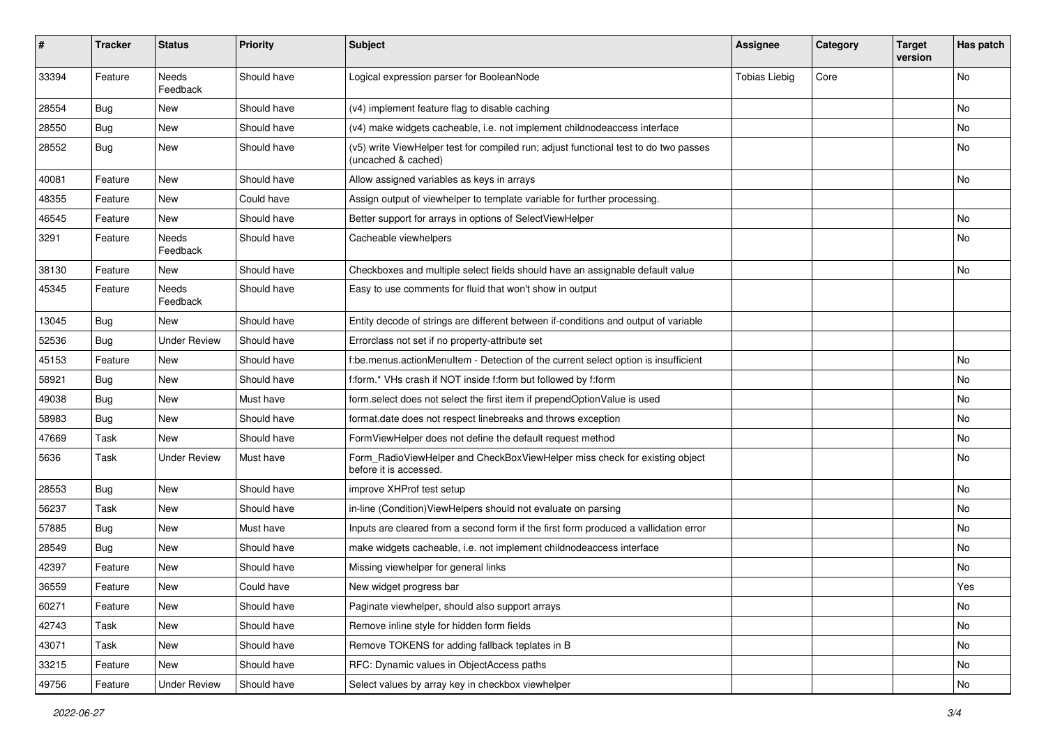| #     | <b>Tracker</b> | <b>Status</b>            | <b>Priority</b> | <b>Subject</b>                                                                                              | <b>Assignee</b>      | Category | <b>Target</b><br>version | Has patch |
|-------|----------------|--------------------------|-----------------|-------------------------------------------------------------------------------------------------------------|----------------------|----------|--------------------------|-----------|
| 33394 | Feature        | <b>Needs</b><br>Feedback | Should have     | Logical expression parser for BooleanNode                                                                   | <b>Tobias Liebig</b> | Core     |                          | <b>No</b> |
| 28554 | Bug            | New                      | Should have     | (v4) implement feature flag to disable caching                                                              |                      |          |                          | No        |
| 28550 | Bug            | New                      | Should have     | (v4) make widgets cacheable, i.e. not implement childnodeaccess interface                                   |                      |          |                          | <b>No</b> |
| 28552 | Bug            | New                      | Should have     | (v5) write ViewHelper test for compiled run; adjust functional test to do two passes<br>(uncached & cached) |                      |          |                          | No        |
| 40081 | Feature        | New                      | Should have     | Allow assigned variables as keys in arrays                                                                  |                      |          |                          | No        |
| 48355 | Feature        | New                      | Could have      | Assign output of viewhelper to template variable for further processing.                                    |                      |          |                          |           |
| 46545 | Feature        | New                      | Should have     | Better support for arrays in options of SelectViewHelper                                                    |                      |          |                          | No        |
| 3291  | Feature        | Needs<br>Feedback        | Should have     | Cacheable viewhelpers                                                                                       |                      |          |                          | No        |
| 38130 | Feature        | New                      | Should have     | Checkboxes and multiple select fields should have an assignable default value                               |                      |          |                          | <b>No</b> |
| 45345 | Feature        | Needs<br>Feedback        | Should have     | Easy to use comments for fluid that won't show in output                                                    |                      |          |                          |           |
| 13045 | Bug            | New                      | Should have     | Entity decode of strings are different between if-conditions and output of variable                         |                      |          |                          |           |
| 52536 | Bug            | <b>Under Review</b>      | Should have     | Errorclass not set if no property-attribute set                                                             |                      |          |                          |           |
| 45153 | Feature        | New                      | Should have     | f:be.menus.actionMenuItem - Detection of the current select option is insufficient                          |                      |          |                          | No        |
| 58921 | Bug            | New                      | Should have     | f:form.* VHs crash if NOT inside f:form but followed by f:form                                              |                      |          |                          | No        |
| 49038 | Bug            | New                      | Must have       | form.select does not select the first item if prependOptionValue is used                                    |                      |          |                          | No        |
| 58983 | Bug            | New                      | Should have     | format.date does not respect linebreaks and throws exception                                                |                      |          |                          | No        |
| 47669 | Task           | New                      | Should have     | FormViewHelper does not define the default request method                                                   |                      |          |                          | No        |
| 5636  | Task           | <b>Under Review</b>      | Must have       | Form_RadioViewHelper and CheckBoxViewHelper miss check for existing object<br>before it is accessed.        |                      |          |                          | <b>No</b> |
| 28553 | Bug            | New                      | Should have     | improve XHProf test setup                                                                                   |                      |          |                          | <b>No</b> |
| 56237 | Task           | New                      | Should have     | in-line (Condition) ViewHelpers should not evaluate on parsing                                              |                      |          |                          | No        |
| 57885 | Bug            | New                      | Must have       | Inputs are cleared from a second form if the first form produced a vallidation error                        |                      |          |                          | No        |
| 28549 | Bug            | New                      | Should have     | make widgets cacheable, i.e. not implement childnodeaccess interface                                        |                      |          |                          | No        |
| 42397 | Feature        | <b>New</b>               | Should have     | Missing viewhelper for general links                                                                        |                      |          |                          | No        |
| 36559 | Feature        | New                      | Could have      | New widget progress bar                                                                                     |                      |          |                          | Yes       |
| 60271 | Feature        | New                      | Should have     | Paginate viewhelper, should also support arrays                                                             |                      |          |                          | No        |
| 42743 | Task           | New                      | Should have     | Remove inline style for hidden form fields                                                                  |                      |          |                          | No        |
| 43071 | Task           | New                      | Should have     | Remove TOKENS for adding fallback teplates in B                                                             |                      |          |                          | No        |
| 33215 | Feature        | New                      | Should have     | RFC: Dynamic values in ObjectAccess paths                                                                   |                      |          |                          | No        |
| 49756 | Feature        | <b>Under Review</b>      | Should have     | Select values by array key in checkbox viewhelper                                                           |                      |          |                          | No        |